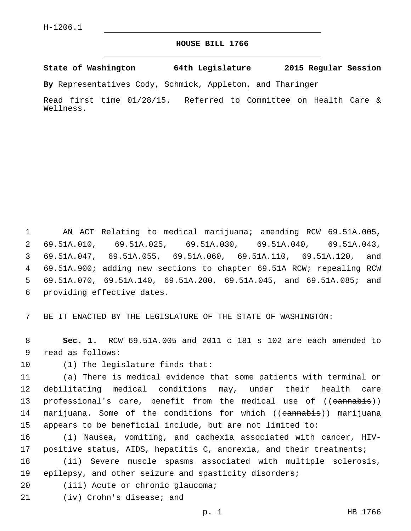## **HOUSE BILL 1766**

**State of Washington 64th Legislature 2015 Regular Session**

**By** Representatives Cody, Schmick, Appleton, and Tharinger

Read first time 01/28/15. Referred to Committee on Health Care & Wellness.

 AN ACT Relating to medical marijuana; amending RCW 69.51A.005, 69.51A.010, 69.51A.025, 69.51A.030, 69.51A.040, 69.51A.043, 69.51A.047, 69.51A.055, 69.51A.060, 69.51A.110, 69.51A.120, and 69.51A.900; adding new sections to chapter 69.51A RCW; repealing RCW 69.51A.070, 69.51A.140, 69.51A.200, 69.51A.045, and 69.51A.085; and 6 providing effective dates.

7 BE IT ENACTED BY THE LEGISLATURE OF THE STATE OF WASHINGTON:

8 **Sec. 1.** RCW 69.51A.005 and 2011 c 181 s 102 are each amended to 9 read as follows:

10 (1) The legislature finds that:

11 (a) There is medical evidence that some patients with terminal or 12 debilitating medical conditions may, under their health care 13 professional's care, benefit from the medical use of ((eannabis)) 14 marijuana. Some of the conditions for which ((eannabis)) marijuana 15 appears to be beneficial include, but are not limited to:

16 (i) Nausea, vomiting, and cachexia associated with cancer, HIV-17 positive status, AIDS, hepatitis C, anorexia, and their treatments; 18 (ii) Severe muscle spasms associated with multiple sclerosis,

19 epilepsy, and other seizure and spasticity disorders;

- 20 (iii) Acute or chronic glaucoma;
- 21 (iv) Crohn's disease; and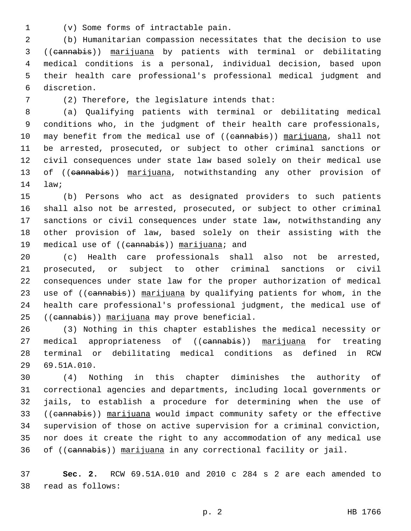- 
- (v) Some forms of intractable pain.1

 (b) Humanitarian compassion necessitates that the decision to use ((cannabis)) marijuana by patients with terminal or debilitating medical conditions is a personal, individual decision, based upon their health care professional's professional medical judgment and discretion.6

(2) Therefore, the legislature intends that:7

 (a) Qualifying patients with terminal or debilitating medical conditions who, in the judgment of their health care professionals, 10 may benefit from the medical use of ((cannabis)) marijuana, shall not be arrested, prosecuted, or subject to other criminal sanctions or civil consequences under state law based solely on their medical use 13 of ((eannabis)) marijuana, notwithstanding any other provision of 14 law;

 (b) Persons who act as designated providers to such patients shall also not be arrested, prosecuted, or subject to other criminal sanctions or civil consequences under state law, notwithstanding any other provision of law, based solely on their assisting with the 19 medical use of ((cannabis)) marijuana; and

 (c) Health care professionals shall also not be arrested, prosecuted, or subject to other criminal sanctions or civil consequences under state law for the proper authorization of medical 23 use of ((cannabis)) marijuana by qualifying patients for whom, in the health care professional's professional judgment, the medical use of 25 ((cannabis)) marijuana may prove beneficial.

 (3) Nothing in this chapter establishes the medical necessity or 27 medical appropriateness of ((eannabis)) marijuana for treating terminal or debilitating medical conditions as defined in RCW 69.51A.010.29

 (4) Nothing in this chapter diminishes the authority of correctional agencies and departments, including local governments or jails, to establish a procedure for determining when the use of 33 ((cannabis)) marijuana would impact community safety or the effective supervision of those on active supervision for a criminal conviction, nor does it create the right to any accommodation of any medical use 36 of ((cannabis)) marijuana in any correctional facility or jail.

 **Sec. 2.** RCW 69.51A.010 and 2010 c 284 s 2 are each amended to read as follows:38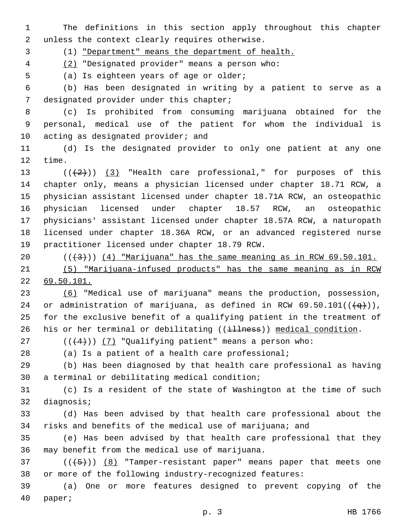The definitions in this section apply throughout this chapter 2 unless the context clearly requires otherwise.

(1) "Department" means the department of health.

(2) "Designated provider" means a person who:4

5 (a) Is eighteen years of age or older;

 (b) Has been designated in writing by a patient to serve as a 7 designated provider under this chapter;

 (c) Is prohibited from consuming marijuana obtained for the personal, medical use of the patient for whom the individual is 10 acting as designated provider; and

 (d) Is the designated provider to only one patient at any one 12 time.

 $((+2))$   $(3)$  "Health care professional," for purposes of this chapter only, means a physician licensed under chapter 18.71 RCW, a physician assistant licensed under chapter 18.71A RCW, an osteopathic physician licensed under chapter 18.57 RCW, an osteopathic physicians' assistant licensed under chapter 18.57A RCW, a naturopath licensed under chapter 18.36A RCW, or an advanced registered nurse 19 practitioner licensed under chapter 18.79 RCW.

 $((+3)^{n})$   $(4)$  "Marijuana" has the same meaning as in RCW 69.50.101.

 (5) "Marijuana-infused products" has the same meaning as in RCW 69.50.101.

 (6) "Medical use of marijuana" means the production, possession, 24 or administration of marijuana, as defined in RCW 69.50.101( $(\frac{q}{q})$ ), for the exclusive benefit of a qualifying patient in the treatment of 26 his or her terminal or debilitating ( $(i\text{+}1\text{ness})$ ) medical condition.

27  $((+4))$   $(7)$  "Qualifying patient" means a person who:

(a) Is a patient of a health care professional;

 (b) Has been diagnosed by that health care professional as having 30 a terminal or debilitating medical condition;

 (c) Is a resident of the state of Washington at the time of such 32 diagnosis;

 (d) Has been advised by that health care professional about the risks and benefits of the medical use of marijuana; and

 (e) Has been advised by that health care professional that they 36 may benefit from the medical use of marijuana.

 ( $(\overline{+5})$ ) (8) "Tamper-resistant paper" means paper that meets one or more of the following industry-recognized features:

 (a) One or more features designed to prevent copying of the 40 paper;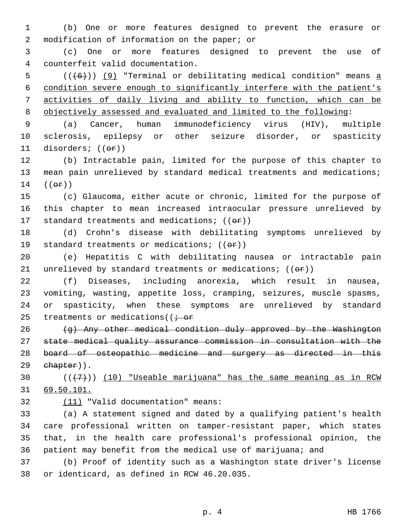(b) One or more features designed to prevent the erasure or 2 modification of information on the paper; or

 (c) One or more features designed to prevent the use of counterfeit valid documentation.4

 (( $(6)$ )) (9) "Terminal or debilitating medical condition" means a condition severe enough to significantly interfere with the patient's activities of daily living and ability to function, which can be objectively assessed and evaluated and limited to the following:

 (a) Cancer, human immunodeficiency virus (HIV), multiple sclerosis, epilepsy or other seizure disorder, or spasticity 11 disorders;  $((\theta \cdot \mathbf{r}))$ 

 (b) Intractable pain, limited for the purpose of this chapter to mean pain unrelieved by standard medical treatments and medications; (( $\Theta$  $\mathbf{r}$ ))

 (c) Glaucoma, either acute or chronic, limited for the purpose of this chapter to mean increased intraocular pressure unrelieved by 17 standard treatments and medications;  $((\theta \cdot \mathbf{r}))$ 

 (d) Crohn's disease with debilitating symptoms unrelieved by 19 standard treatments or medications;  $((\theta \cdot \hat{r}))$ 

 (e) Hepatitis C with debilitating nausea or intractable pain 21 unrelieved by standard treatments or medications;  $((\theta \cdot \hat{r}))$ 

 (f) Diseases, including anorexia, which result in nausea, vomiting, wasting, appetite loss, cramping, seizures, muscle spasms, or spasticity, when these symptoms are unrelieved by standard 25 treatments or medications( $(i - or$ 

26 (g) Any other medical condition duly approved by the Washington state medical quality assurance commission in consultation with the board of osteopathic medicine and surgery as directed in this 29 ehapter)).

30  $((+7+))$  (10) "Useable marijuana" has the same meaning as in RCW 69.50.101.

32 (11) "Valid documentation" means:

 (a) A statement signed and dated by a qualifying patient's health care professional written on tamper-resistant paper, which states that, in the health care professional's professional opinion, the patient may benefit from the medical use of marijuana; and

 (b) Proof of identity such as a Washington state driver's license 38 or identicard, as defined in RCW 46.20.035.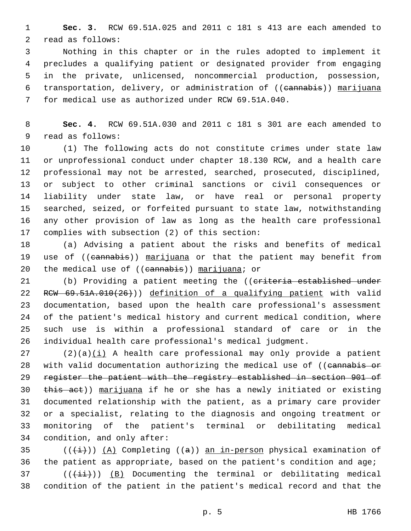**Sec. 3.** RCW 69.51A.025 and 2011 c 181 s 413 are each amended to 2 read as follows:

 Nothing in this chapter or in the rules adopted to implement it precludes a qualifying patient or designated provider from engaging in the private, unlicensed, noncommercial production, possession, 6 transportation, delivery, or administration of ((cannabis)) marijuana for medical use as authorized under RCW 69.51A.040.

 **Sec. 4.** RCW 69.51A.030 and 2011 c 181 s 301 are each amended to 9 read as follows:

 (1) The following acts do not constitute crimes under state law or unprofessional conduct under chapter 18.130 RCW, and a health care professional may not be arrested, searched, prosecuted, disciplined, or subject to other criminal sanctions or civil consequences or liability under state law, or have real or personal property searched, seized, or forfeited pursuant to state law, notwithstanding any other provision of law as long as the health care professional 17 complies with subsection (2) of this section:

 (a) Advising a patient about the risks and benefits of medical 19 use of ((cannabis)) marijuana or that the patient may benefit from 20 the medical use of  $((\text{camabis}))$  marijuana; or

21 (b) Providing a patient meeting the ((criteria established under 22 RCW 69.51A.010(26))) definition of a qualifying patient with valid documentation, based upon the health care professional's assessment of the patient's medical history and current medical condition, where such use is within a professional standard of care or in the individual health care professional's medical judgment.

 (2)(a)(i) A health care professional may only provide a patient 28 with valid documentation authorizing the medical use of ((eannabis or register the patient with the registry established in section 901 of this act)) marijuana if he or she has a newly initiated or existing documented relationship with the patient, as a primary care provider or a specialist, relating to the diagnosis and ongoing treatment or monitoring of the patient's terminal or debilitating medical 34 condition, and only after:

35  $((+i+))$   $(A)$  Completing  $((a))$  an in-person physical examination of the patient as appropriate, based on the patient's condition and age; ( $(\frac{4+i}{})$ ) (B) Documenting the terminal or debilitating medical

condition of the patient in the patient's medical record and that the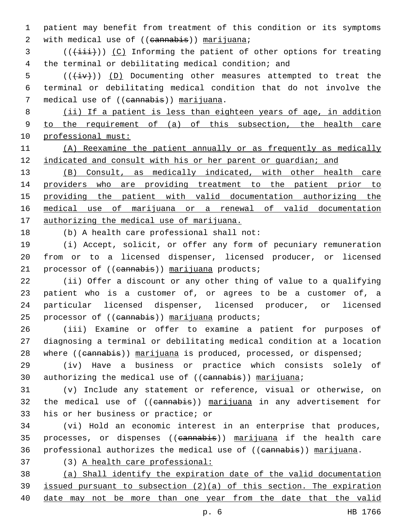patient may benefit from treatment of this condition or its symptoms 2 with medical use of ((cannabis)) marijuana;

3 (( $(i\text{iii})$ ) (C) Informing the patient of other options for treating the terminal or debilitating medical condition; and

 (( $\overleftrightarrow{iv}$ )) (D) Documenting other measures attempted to treat the terminal or debilitating medical condition that do not involve the 7 medical use of ((cannabis)) marijuana.

 (ii) If a patient is less than eighteen years of age, in addition to the requirement of (a) of this subsection, the health care professional must:

 (A) Reexamine the patient annually or as frequently as medically indicated and consult with his or her parent or guardian; and

 (B) Consult, as medically indicated, with other health care 14 providers who are providing treatment to the patient prior to providing the patient with valid documentation authorizing the medical use of marijuana or a renewal of valid documentation 17 authorizing the medical use of marijuana.

18 (b) A health care professional shall not:

 (i) Accept, solicit, or offer any form of pecuniary remuneration from or to a licensed dispenser, licensed producer, or licensed 21 processor of ((cannabis)) marijuana products;

 (ii) Offer a discount or any other thing of value to a qualifying patient who is a customer of, or agrees to be a customer of, a particular licensed dispenser, licensed producer, or licensed 25 processor of ((cannabis)) marijuana products;

 (iii) Examine or offer to examine a patient for purposes of diagnosing a terminal or debilitating medical condition at a location 28 where ((cannabis)) marijuana is produced, processed, or dispensed;

 (iv) Have a business or practice which consists solely of 30 authorizing the medical use of ((cannabis)) marijuana;

 (v) Include any statement or reference, visual or otherwise, on 32 the medical use of ((eannabis)) marijuana in any advertisement for 33 his or her business or practice; or

 (vi) Hold an economic interest in an enterprise that produces, 35 processes, or dispenses ((cannabis)) marijuana if the health care 36 professional authorizes the medical use of ((cannabis)) marijuana.

(3) A health care professional:

 (a) Shall identify the expiration date of the valid documentation issued pursuant to subsection (2)(a) of this section. The expiration date may not be more than one year from the date that the valid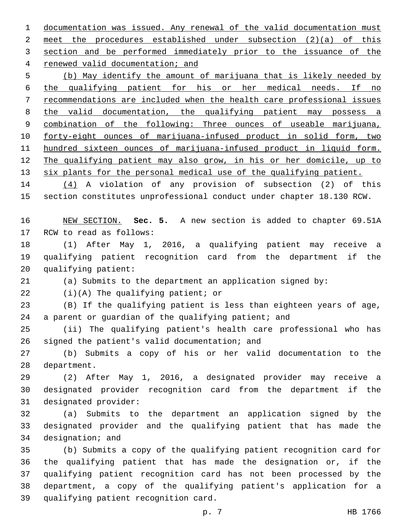documentation was issued. Any renewal of the valid documentation must meet the procedures established under subsection (2)(a) of this 3 section and be performed immediately prior to the issuance of the 4 renewed valid documentation; and

 (b) May identify the amount of marijuana that is likely needed by the qualifying patient for his or her medical needs. If no recommendations are included when the health care professional issues the valid documentation, the qualifying patient may possess a combination of the following: Three ounces of useable marijuana, forty-eight ounces of marijuana-infused product in solid form, two hundred sixteen ounces of marijuana-infused product in liquid form. 12 The qualifying patient may also grow, in his or her domicile, up to 13 six plants for the personal medical use of the qualifying patient.

 (4) A violation of any provision of subsection (2) of this section constitutes unprofessional conduct under chapter 18.130 RCW.

 NEW SECTION. **Sec. 5.** A new section is added to chapter 69.51A 17 RCW to read as follows:

 (1) After May 1, 2016, a qualifying patient may receive a qualifying patient recognition card from the department if the 20 qualifying patient:

(a) Submits to the department an application signed by:

 $(1)(A)$  The qualifying patient; or

 (B) If the qualifying patient is less than eighteen years of age, 24 a parent or guardian of the qualifying patient; and

 (ii) The qualifying patient's health care professional who has 26 signed the patient's valid documentation; and

 (b) Submits a copy of his or her valid documentation to the 28 department.

 (2) After May 1, 2016, a designated provider may receive a designated provider recognition card from the department if the 31 designated provider:

 (a) Submits to the department an application signed by the designated provider and the qualifying patient that has made the 34 designation; and

 (b) Submits a copy of the qualifying patient recognition card for the qualifying patient that has made the designation or, if the qualifying patient recognition card has not been processed by the department, a copy of the qualifying patient's application for a 39 qualifying patient recognition card.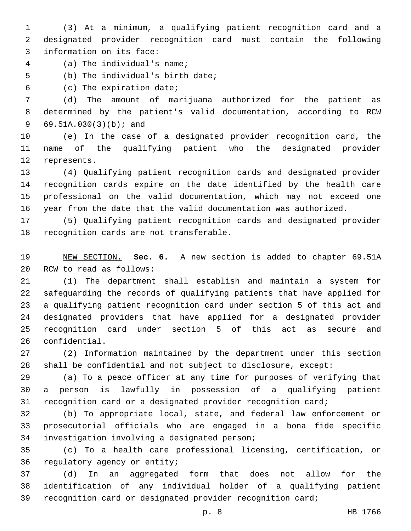(3) At a minimum, a qualifying patient recognition card and a designated provider recognition card must contain the following 3 information on its face:

(a) The individual's name;4

5 (b) The individual's birth date;

(c) The expiration date;6

 (d) The amount of marijuana authorized for the patient as determined by the patient's valid documentation, according to RCW 69.51A.030(3)(b); and9

 (e) In the case of a designated provider recognition card, the name of the qualifying patient who the designated provider 12 represents.

 (4) Qualifying patient recognition cards and designated provider recognition cards expire on the date identified by the health care professional on the valid documentation, which may not exceed one year from the date that the valid documentation was authorized.

 (5) Qualifying patient recognition cards and designated provider 18 recognition cards are not transferable.

 NEW SECTION. **Sec. 6.** A new section is added to chapter 69.51A 20 RCW to read as follows:

 (1) The department shall establish and maintain a system for safeguarding the records of qualifying patients that have applied for a qualifying patient recognition card under section 5 of this act and designated providers that have applied for a designated provider recognition card under section 5 of this act as secure and 26 confidential.

 (2) Information maintained by the department under this section shall be confidential and not subject to disclosure, except:

 (a) To a peace officer at any time for purposes of verifying that a person is lawfully in possession of a qualifying patient recognition card or a designated provider recognition card;

 (b) To appropriate local, state, and federal law enforcement or prosecutorial officials who are engaged in a bona fide specific 34 investigation involving a designated person;

 (c) To a health care professional licensing, certification, or 36 regulatory agency or entity;

 (d) In an aggregated form that does not allow for the identification of any individual holder of a qualifying patient recognition card or designated provider recognition card;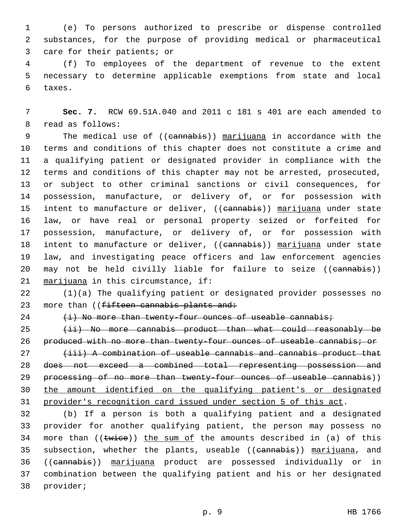1 (e) To persons authorized to prescribe or dispense controlled 2 substances, for the purpose of providing medical or pharmaceutical 3 care for their patients; or

4 (f) To employees of the department of revenue to the extent 5 necessary to determine applicable exemptions from state and local 6 taxes.

7 **Sec. 7.** RCW 69.51A.040 and 2011 c 181 s 401 are each amended to 8 read as follows:

9 The medical use of ((cannabis)) marijuana in accordance with the terms and conditions of this chapter does not constitute a crime and a qualifying patient or designated provider in compliance with the terms and conditions of this chapter may not be arrested, prosecuted, or subject to other criminal sanctions or civil consequences, for possession, manufacture, or delivery of, or for possession with 15 intent to manufacture or deliver, ((eannabis)) marijuana under state law, or have real or personal property seized or forfeited for possession, manufacture, or delivery of, or for possession with 18 intent to manufacture or deliver, ((cannabis)) marijuana under state law, and investigating peace officers and law enforcement agencies 20 may not be held civilly liable for failure to seize ((cannabis)) 21 marijuana in this circumstance, if:

22 (1)(a) The qualifying patient or designated provider possesses no 23 more than ((fifteen cannabis plants and:

 $24$   $(i)$  No more than twenty-four ounces of useable cannabis;

25 (ii) No more cannabis product than what could reasonably be 26 produced with no more than twenty-four ounces of useable cannabis; or

27 (iii) A combination of useable cannabis and cannabis product that 28 does not exceed a combined total representing possession and 29 processing of no more than twenty-four ounces of useable cannabis)) 30 the amount identified on the qualifying patient's or designated 31 provider's recognition card issued under section 5 of this act.

32 (b) If a person is both a qualifying patient and a designated 33 provider for another qualifying patient, the person may possess no 34 more than  $((\text{twice}))$  the sum of the amounts described in (a) of this 35 subsection, whether the plants, useable ((cannabis)) marijuana, and 36 ((cannabis)) marijuana product are possessed individually or in 37 combination between the qualifying patient and his or her designated 38 provider;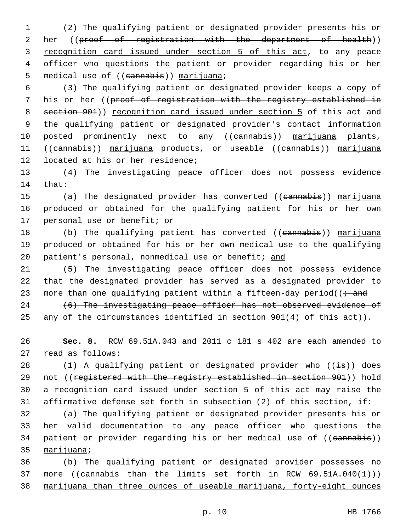1 (2) The qualifying patient or designated provider presents his or 2 her ((proof of registration with the department of health)) 3 recognition card issued under section 5 of this act, to any peace 4 officer who questions the patient or provider regarding his or her 5 medical use of ((cannabis)) marijuana;

6 (3) The qualifying patient or designated provider keeps a copy of 7 his or her ((proof of registration with the registry established in 8 section 901)) recognition card issued under section 5 of this act and 9 the qualifying patient or designated provider's contact information 10 posted prominently next to any ((cannabis)) marijuana plants, 11 ((cannabis)) marijuana products, or useable ((cannabis)) marijuana 12 located at his or her residence;

13 (4) The investigating peace officer does not possess evidence 14 that:

15 (a) The designated provider has converted ((cannabis)) marijuana 16 produced or obtained for the qualifying patient for his or her own 17 personal use or benefit; or

18 (b) The qualifying patient has converted ((cannabis)) marijuana 19 produced or obtained for his or her own medical use to the qualifying 20 patient's personal, nonmedical use or benefit; and

21 (5) The investigating peace officer does not possess evidence 22 that the designated provider has served as a designated provider to 23 more than one qualifying patient within a fifteen-day period( $\overline{t}$  and

24 (6) The investigating peace officer has not observed evidence of 25 any of the circumstances identified in section 901(4) of this act)).

26 **Sec. 8.** RCW 69.51A.043 and 2011 c 181 s 402 are each amended to 27 read as follows:

28 (1) A qualifying patient or designated provider who  $((\frac{1}{1}S))$  does 29 not ((registered with the registry established in section 901)) hold 30 a recognition card issued under section 5 of this act may raise the 31 affirmative defense set forth in subsection (2) of this section, if:

32 (a) The qualifying patient or designated provider presents his or 33 her valid documentation to any peace officer who questions the 34 patient or provider regarding his or her medical use of ((cannabis)) 35 marijuana;

36 (b) The qualifying patient or designated provider possesses no 37 more ((cannabis than the limits set forth in RCW  $69.51A.040(1)$ )) 38 marijuana than three ounces of useable marijuana, forty-eight ounces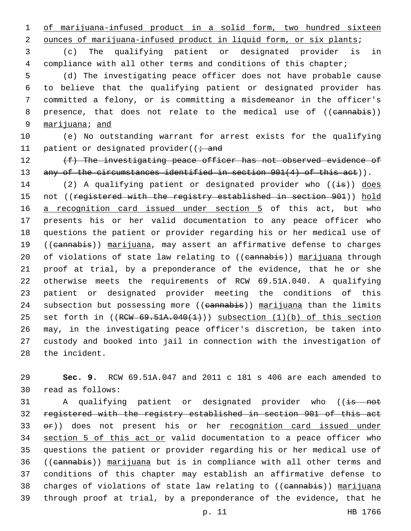1 of marijuana-infused product in a solid form, two hundred sixteen

2 ounces of marijuana-infused product in liquid form, or six plants;

3 (c) The qualifying patient or designated provider is in 4 compliance with all other terms and conditions of this chapter;

 (d) The investigating peace officer does not have probable cause to believe that the qualifying patient or designated provider has committed a felony, or is committing a misdemeanor in the officer's 8 presence, that does not relate to the medical use of ((cannabis)) marijuana; and

10 (e) No outstanding warrant for arrest exists for the qualifying 11 patient or designated provider( $(i \cdot$  and

12 (f) The investigating peace officer has not observed evidence of 13 any of the circumstances identified in section 901(4) of this act)).

14 (2) A qualifying patient or designated provider who  $((\frac{1}{15}))$  does 15 not ((registered with the registry established in section 901)) hold 16 a recognition card issued under section 5 of this act, but who 17 presents his or her valid documentation to any peace officer who 18 questions the patient or provider regarding his or her medical use of 19 ((cannabis)) marijuana, may assert an affirmative defense to charges 20 of violations of state law relating to ((cannabis)) marijuana through 21 proof at trial, by a preponderance of the evidence, that he or she 22 otherwise meets the requirements of RCW 69.51A.040. A qualifying 23 patient or designated provider meeting the conditions of this 24 subsection but possessing more ((cannabis)) marijuana than the limits 25 set forth in ((RCW 69.51A.040(1))) subsection (1)(b) of this section 26 may, in the investigating peace officer's discretion, be taken into 27 custody and booked into jail in connection with the investigation of 28 the incident.

29 **Sec. 9.** RCW 69.51A.047 and 2011 c 181 s 406 are each amended to 30 read as follows:

31 A qualifying patient or designated provider who ((is not registered with the registry established in section 901 of this act  $e$ 2)) does not present his or her recognition card issued under 34 section 5 of this act or valid documentation to a peace officer who questions the patient or provider regarding his or her medical use of ((cannabis)) marijuana but is in compliance with all other terms and conditions of this chapter may establish an affirmative defense to 38 charges of violations of state law relating to ((cannabis)) marijuana through proof at trial, by a preponderance of the evidence, that he

p. 11 HB 1766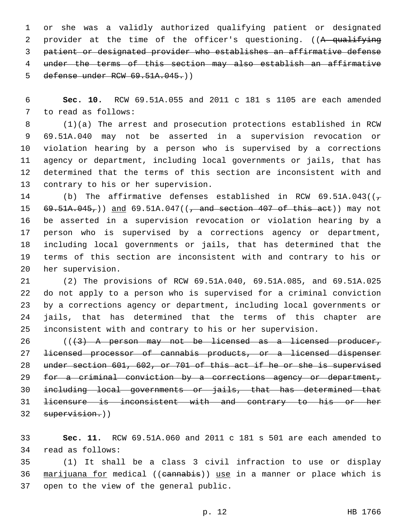or she was a validly authorized qualifying patient or designated 2 provider at the time of the officer's questioning. ((A qualifying patient or designated provider who establishes an affirmative defense under the terms of this section may also establish an affirmative defense under RCW 69.51A.045.))

 **Sec. 10.** RCW 69.51A.055 and 2011 c 181 s 1105 are each amended 7 to read as follows:

 (1)(a) The arrest and prosecution protections established in RCW 69.51A.040 may not be asserted in a supervision revocation or violation hearing by a person who is supervised by a corrections agency or department, including local governments or jails, that has determined that the terms of this section are inconsistent with and 13 contrary to his or her supervision.

14 (b) The affirmative defenses established in RCW 69.51A.043( $(\tau$ **69.51A.045,**)) and 69.51A.047((, and section 407 of this act)) may not be asserted in a supervision revocation or violation hearing by a person who is supervised by a corrections agency or department, including local governments or jails, that has determined that the terms of this section are inconsistent with and contrary to his or 20 her supervision.

 (2) The provisions of RCW 69.51A.040, 69.51A.085, and 69.51A.025 do not apply to a person who is supervised for a criminal conviction by a corrections agency or department, including local governments or jails, that has determined that the terms of this chapter are inconsistent with and contrary to his or her supervision.

26 (((43) A person may not be licensed as a licensed producer, licensed processor of cannabis products, or a licensed dispenser under section 601, 602, or 701 of this act if he or she is supervised for a criminal conviction by a corrections agency or department, including local governments or jails, that has determined that licensure is inconsistent with and contrary to his or her 32 supervision.))

 **Sec. 11.** RCW 69.51A.060 and 2011 c 181 s 501 are each amended to 34 read as follows:

 (1) It shall be a class 3 civil infraction to use or display marijuana for medical ((cannabis)) use in a manner or place which is 37 open to the view of the general public.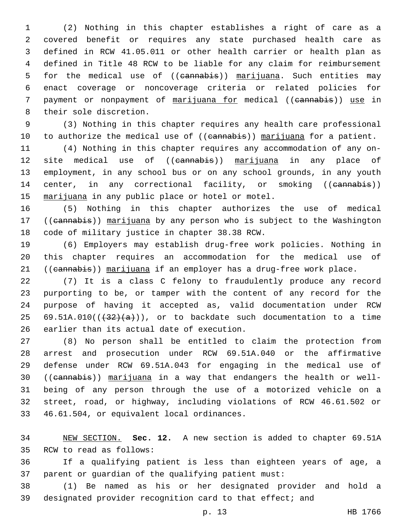(2) Nothing in this chapter establishes a right of care as a covered benefit or requires any state purchased health care as defined in RCW 41.05.011 or other health carrier or health plan as defined in Title 48 RCW to be liable for any claim for reimbursement 5 for the medical use of ((cannabis)) marijuana. Such entities may enact coverage or noncoverage criteria or related policies for payment or nonpayment of marijuana for medical ((cannabis)) use in 8 their sole discretion.

 (3) Nothing in this chapter requires any health care professional 10 to authorize the medical use of ((eannabis)) marijuana for a patient.

 (4) Nothing in this chapter requires any accommodation of any on-12 site medical use of ((eannabis)) marijuana in any place of employment, in any school bus or on any school grounds, in any youth 14 center, in any correctional facility, or smoking ((cannabis)) 15 marijuana in any public place or hotel or motel.

 (5) Nothing in this chapter authorizes the use of medical 17 ((cannabis)) marijuana by any person who is subject to the Washington 18 code of military justice in chapter 38.38 RCW.

 (6) Employers may establish drug-free work policies. Nothing in this chapter requires an accommodation for the medical use of 21 ((cannabis)) marijuana if an employer has a drug-free work place.

 (7) It is a class C felony to fraudulently produce any record purporting to be, or tamper with the content of any record for the purpose of having it accepted as, valid documentation under RCW 25 69.51A.010( $(\frac{32}{a})$ ), or to backdate such documentation to a time 26 earlier than its actual date of execution.

 (8) No person shall be entitled to claim the protection from arrest and prosecution under RCW 69.51A.040 or the affirmative defense under RCW 69.51A.043 for engaging in the medical use of ((cannabis)) marijuana in a way that endangers the health or well- being of any person through the use of a motorized vehicle on a street, road, or highway, including violations of RCW 46.61.502 or 33 46.61.504, or equivalent local ordinances.

 NEW SECTION. **Sec. 12.** A new section is added to chapter 69.51A 35 RCW to read as follows:

 If a qualifying patient is less than eighteen years of age, a parent or guardian of the qualifying patient must:

 (1) Be named as his or her designated provider and hold a designated provider recognition card to that effect; and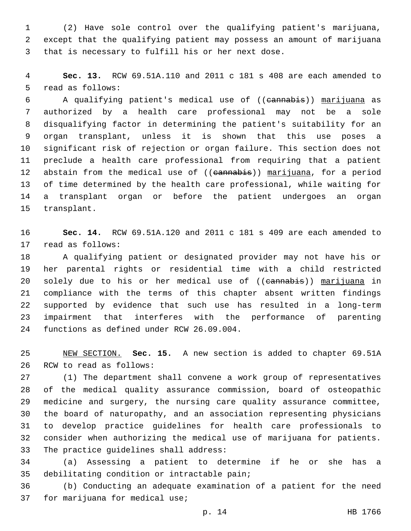(2) Have sole control over the qualifying patient's marijuana, except that the qualifying patient may possess an amount of marijuana 3 that is necessary to fulfill his or her next dose.

 **Sec. 13.** RCW 69.51A.110 and 2011 c 181 s 408 are each amended to 5 read as follows:

 A qualifying patient's medical use of ((cannabis)) marijuana as authorized by a health care professional may not be a sole disqualifying factor in determining the patient's suitability for an organ transplant, unless it is shown that this use poses a significant risk of rejection or organ failure. This section does not preclude a health care professional from requiring that a patient 12 abstain from the medical use of ((eannabis)) marijuana, for a period of time determined by the health care professional, while waiting for a transplant organ or before the patient undergoes an organ 15 transplant.

 **Sec. 14.** RCW 69.51A.120 and 2011 c 181 s 409 are each amended to 17 read as follows:

 A qualifying patient or designated provider may not have his or her parental rights or residential time with a child restricted 20 solely due to his or her medical use of ((eannabis)) marijuana in compliance with the terms of this chapter absent written findings supported by evidence that such use has resulted in a long-term impairment that interferes with the performance of parenting 24 functions as defined under RCW 26.09.004.

 NEW SECTION. **Sec. 15.** A new section is added to chapter 69.51A 26 RCW to read as follows:

 (1) The department shall convene a work group of representatives of the medical quality assurance commission, board of osteopathic medicine and surgery, the nursing care quality assurance committee, the board of naturopathy, and an association representing physicians to develop practice guidelines for health care professionals to consider when authorizing the medical use of marijuana for patients. 33 The practice guidelines shall address:

 (a) Assessing a patient to determine if he or she has a 35 debilitating condition or intractable pain;

 (b) Conducting an adequate examination of a patient for the need 37 for marijuana for medical use;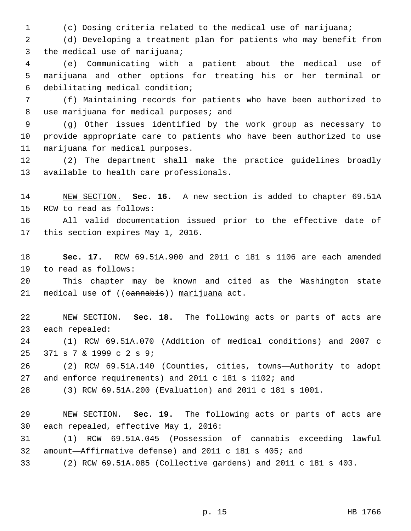(c) Dosing criteria related to the medical use of marijuana;

 (d) Developing a treatment plan for patients who may benefit from 3 the medical use of marijuana;

 (e) Communicating with a patient about the medical use of marijuana and other options for treating his or her terminal or debilitating medical condition;6

 (f) Maintaining records for patients who have been authorized to 8 use marijuana for medical purposes; and

 (g) Other issues identified by the work group as necessary to provide appropriate care to patients who have been authorized to use 11 marijuana for medical purposes.

 (2) The department shall make the practice guidelines broadly 13 available to health care professionals.

 NEW SECTION. **Sec. 16.** A new section is added to chapter 69.51A 15 RCW to read as follows:

 All valid documentation issued prior to the effective date of 17 this section expires May 1, 2016.

 **Sec. 17.** RCW 69.51A.900 and 2011 c 181 s 1106 are each amended 19 to read as follows:

 This chapter may be known and cited as the Washington state 21 medical use of ((cannabis)) marijuana act.

 NEW SECTION. **Sec. 18.** The following acts or parts of acts are 23 each repealed:

 (1) RCW 69.51A.070 (Addition of medical conditions) and 2007 c 371 s 7 & 1999 c 2 s 9;25

 (2) RCW 69.51A.140 (Counties, cities, towns—Authority to adopt and enforce requirements) and 2011 c 181 s 1102; and

(3) RCW 69.51A.200 (Evaluation) and 2011 c 181 s 1001.

 NEW SECTION. **Sec. 19.** The following acts or parts of acts are each repealed, effective May 1, 2016:

 (1) RCW 69.51A.045 (Possession of cannabis exceeding lawful amount—Affirmative defense) and 2011 c 181 s 405; and

(2) RCW 69.51A.085 (Collective gardens) and 2011 c 181 s 403.